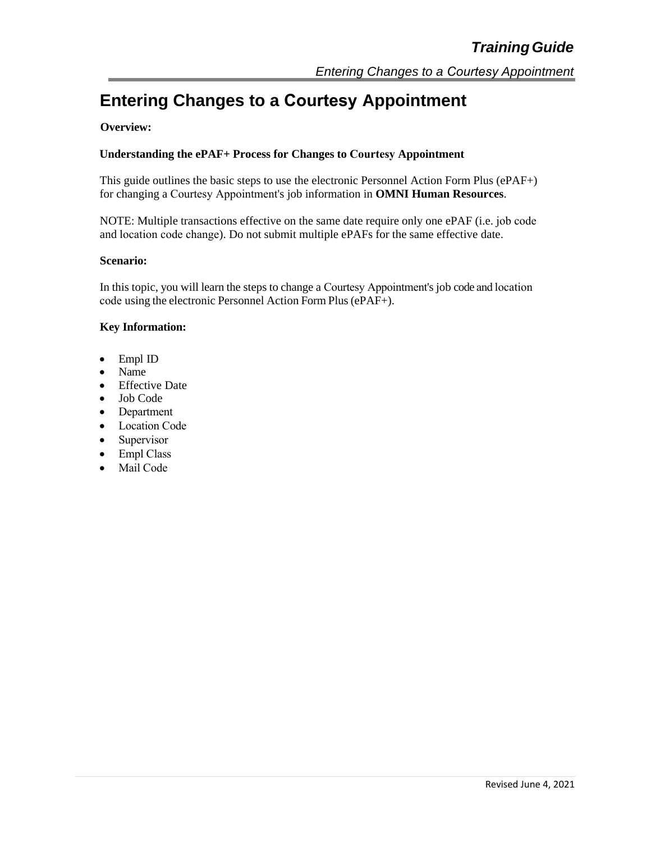# **Entering Changes to a Courtesy Appointment**

#### **Overview:**

#### **Understanding the ePAF+ Process for Changes to Courtesy Appointment**

This guide outlines the basic steps to use the electronic Personnel Action Form Plus (ePAF+) for changing a Courtesy Appointment's job information in **OMNI Human Resources**.

NOTE: Multiple transactions effective on the same date require only one ePAF (i.e. job code and location code change). Do not submit multiple ePAFs for the same effective date.

#### **Scenario:**

In this topic, you will learn the steps to change a Courtesy Appointment's job code and location code using the electronic Personnel Action Form Plus(ePAF+).

#### **Key Information:**

- Empl ID
- Name
- Effective Date
- Job Code
- Department
- Location Code
- Supervisor
- Empl Class
- Mail Code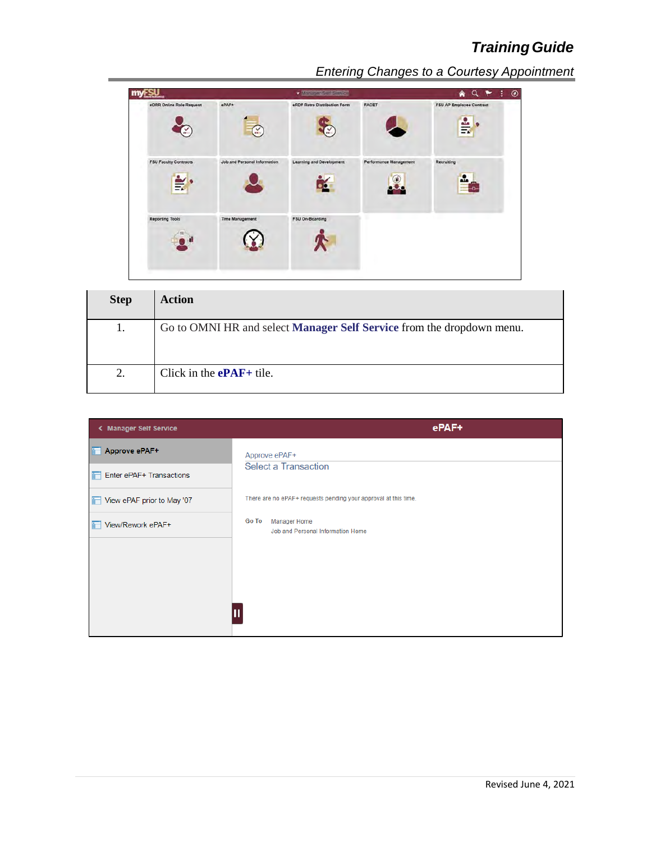

| <b>Step</b> | <b>Action</b>                                                                |
|-------------|------------------------------------------------------------------------------|
| 1.          | Go to OMNI HR and select <b>Manager Self Service</b> from the dropdown menu. |
| 2.          | Click in the $ePAF+$ tile.                                                   |

| < Manager Self Service     | ePAF+                                                                    |
|----------------------------|--------------------------------------------------------------------------|
| Approve ePAF+              | Approve ePAF+                                                            |
| Enter ePAF+ Transactions   | <b>Select a Transaction</b>                                              |
| View ePAF prior to May '07 | There are no ePAF+ requests pending your approval at this time.          |
| View/Rework ePAF+          | <b>Go To</b><br><b>Manager Home</b><br>Job and Personal Information Home |
|                            |                                                                          |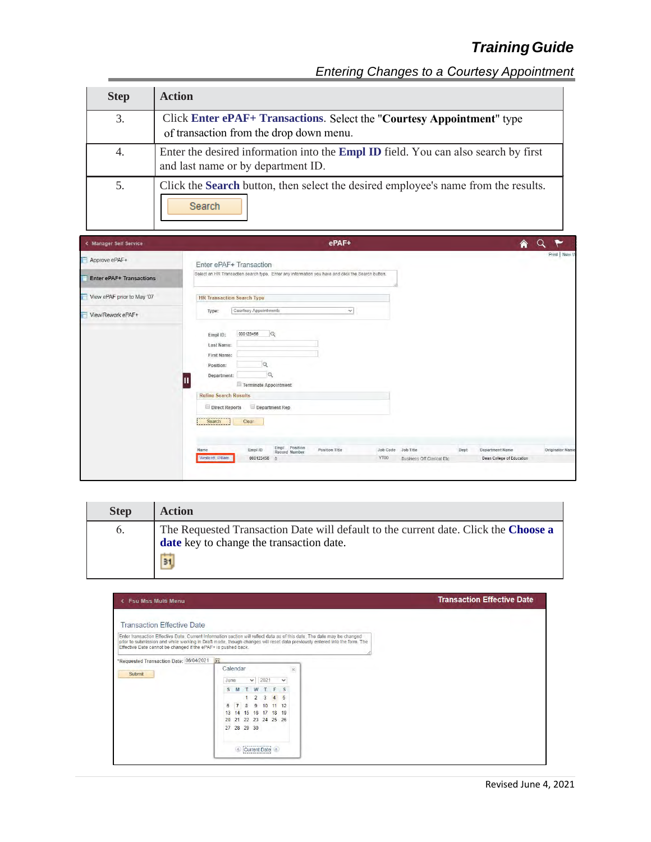| <b>Step</b> | <b>Action</b>                                                                                                                   |
|-------------|---------------------------------------------------------------------------------------------------------------------------------|
| 3.          | Click Enter ePAF+ Transactions. Select the "Courtesy Appointment" type<br>of transaction from the drop down menu.               |
| 4.          | Enter the desired information into the <b>Empl ID</b> field. You can also search by first<br>and last name or by department ID. |
| 5.          | Click the <b>Search</b> button, then select the desired employee's name from the results.<br>Search                             |

| < Manager Self Service          | ePAF+<br>€                                                                                                                                     |
|---------------------------------|------------------------------------------------------------------------------------------------------------------------------------------------|
| Approve ePAF+                   | Print   New W<br>Enter ePAF+ Transaction                                                                                                       |
| <b>Enter ePAF+ Transactions</b> | Select an HR Transaction search type. Enter any information you have and click the Search button.                                              |
| View ePAF prior to May '07      | <b>HR Transaction Search Type</b>                                                                                                              |
| View/Rework ePAF+               | Courtesy Appointments<br>$\checkmark$<br>Type:                                                                                                 |
|                                 | 000123456<br>$\alpha$<br>Empl ID:                                                                                                              |
|                                 | Last Name:                                                                                                                                     |
|                                 | First Name:<br>Position:                                                                                                                       |
|                                 | $\alpha$<br>Department:                                                                                                                        |
|                                 | Terminate Appointment                                                                                                                          |
|                                 | <b>Refine Search Results</b>                                                                                                                   |
|                                 | Department Rep<br>Direct Reports                                                                                                               |
|                                 | Clear<br>Search                                                                                                                                |
|                                 |                                                                                                                                                |
|                                 | Empl Position<br>Record Number<br>Position Title<br>Empl ID<br>Job Code Job Title<br>Department Name<br><b>Originator Name</b><br>Name<br>Dept |
|                                 | YT00<br>Westcott, William<br>Dean College of Education<br>000123456 0<br><b>Business Off Clerical Etc.</b>                                     |
|                                 | . .                                                                                                                                            |

| <b>Step</b>      | <b>Action</b>                                                                                                                   |
|------------------|---------------------------------------------------------------------------------------------------------------------------------|
| $\mathfrak{b}$ . | The Requested Transaction Date will default to the current date. Click the Choose a<br>date key to change the transaction date. |
|                  | 31                                                                                                                              |

| <b>Fsu Mss Multi Menu</b>                                     |                                                                                                                                                                                                                                                       | <b>Transaction Effective Date</b> |
|---------------------------------------------------------------|-------------------------------------------------------------------------------------------------------------------------------------------------------------------------------------------------------------------------------------------------------|-----------------------------------|
| <b>Transaction Effective Date</b>                             |                                                                                                                                                                                                                                                       |                                   |
| Effective Date cannot be changed if the ePAF+ is pushed back. | Enter transaction Effective Date. Current Information section will reflect data as of this date. The date may be changed<br>prior to submission and while working in Draft mode, though changes will reset data previously entered into the form. The |                                   |
| *Requested Transaction Date: 06/04/2021                       | 31 <br>Calendar<br>$\mathbb{X}$                                                                                                                                                                                                                       |                                   |
| Submit                                                        | 2021<br>$\checkmark$<br>June<br>$\checkmark$                                                                                                                                                                                                          |                                   |
|                                                               | T W<br>T F S<br>S M                                                                                                                                                                                                                                   |                                   |
|                                                               | 2 3 4 5<br>$\overline{7}$                                                                                                                                                                                                                             |                                   |
|                                                               | 8 9 10 11 12<br>6<br>13 14 15 16 17 18 19                                                                                                                                                                                                             |                                   |
|                                                               | 20 21 22 23 24 25 26                                                                                                                                                                                                                                  |                                   |
|                                                               | 27 28 29 30                                                                                                                                                                                                                                           |                                   |
|                                                               | Current Date                                                                                                                                                                                                                                          |                                   |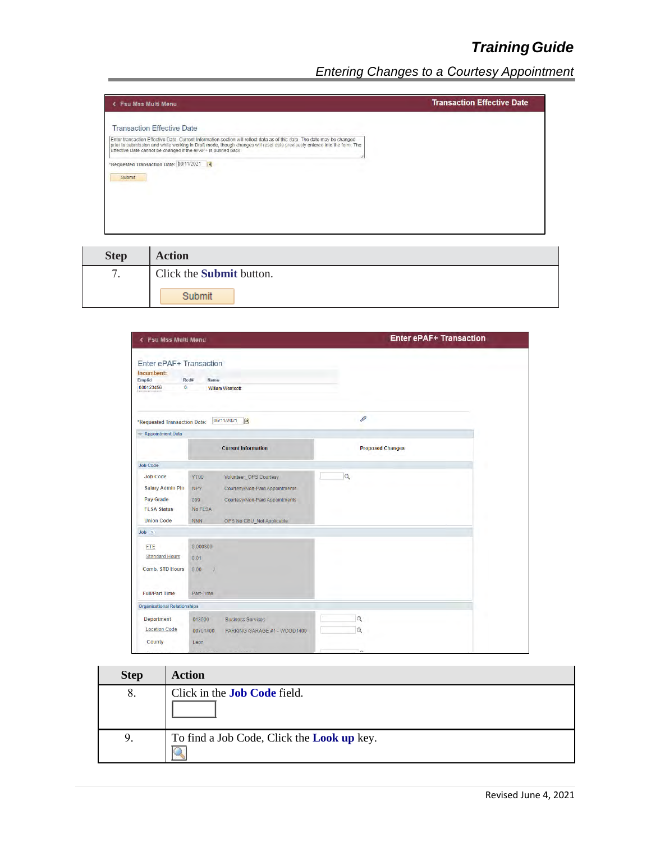| <b>Fsu Mss Multi Menu</b><br>c.                                                                                                                                                                                                                                                                                        | <b>Transaction Effective Date</b> |
|------------------------------------------------------------------------------------------------------------------------------------------------------------------------------------------------------------------------------------------------------------------------------------------------------------------------|-----------------------------------|
| <b>Transaction Effective Date</b>                                                                                                                                                                                                                                                                                      |                                   |
| Enter transaction Effective Date. Current Information section will reflect data as of this date. The date may be changed<br>prior to submission and while working in Draft mode, though changes will reset data previously entered into the form. The<br>Effective Date cannot be changed if the ePAF+ is pushed back. |                                   |
| *Requested Transaction Date: 06/11/2021 1<br>Submit                                                                                                                                                                                                                                                                    |                                   |
|                                                                                                                                                                                                                                                                                                                        |                                   |
|                                                                                                                                                                                                                                                                                                                        |                                   |

| <b>Step</b> | <b>Action</b>                   |
|-------------|---------------------------------|
|             | Click the <b>Submit</b> button. |
|             | Submit                          |

| < Fsu Mss Multi Menu                                                                               |                                                                                                                                                                                             | <b>Enter ePAF+ Transaction</b> |  |
|----------------------------------------------------------------------------------------------------|---------------------------------------------------------------------------------------------------------------------------------------------------------------------------------------------|--------------------------------|--|
| Enter ePAF+ Transaction<br>Incumbent:<br>Emplid<br>$\bullet$<br>000123456                          | Rod#<br>Name<br><b>William Westcott</b>                                                                                                                                                     |                                |  |
| *Requested Transaction Date:                                                                       | 06/11/2021<br>$\overline{31}$                                                                                                                                                               | 0                              |  |
| <b>Appointment Data</b>                                                                            |                                                                                                                                                                                             |                                |  |
|                                                                                                    | <b>Current Information</b>                                                                                                                                                                  | <b>Proposed Changes</b>        |  |
| <b>Job Code</b>                                                                                    |                                                                                                                                                                                             |                                |  |
| <b>Job Code</b><br><b>Salary Admin Pln</b><br>Pay Grade<br><b>FLSA Status</b><br><b>Union Code</b> | <b>YT00</b><br>Volunteer_OPS Courtesy<br><b>NPY</b><br>Courtesy/Non-Paid Appointments<br>099<br>Courtesy/Non-Paid Appointments<br><b>No FLSA</b><br><b>NNN</b><br>OPS No CBU_Not Applicable | $\overline{Q}$                 |  |
| $Job \t2$                                                                                          |                                                                                                                                                                                             |                                |  |
| <b>FTE</b><br><b>Standard Hours</b><br><b>Comb. STD Hours</b><br><b>Full/Part Time</b>             | 0.000300<br>0.01<br>0.00<br>Part-Time                                                                                                                                                       |                                |  |
| <b>Organizational Relationships</b>                                                                |                                                                                                                                                                                             |                                |  |
| <b>Department</b><br><b>Location Code</b><br>County                                                | 013000<br><b>Business Services</b><br>00701400<br>PARKING GARAGE #1 - WOOD1400<br>Leon                                                                                                      | $\alpha$<br>$\alpha$           |  |
|                                                                                                    |                                                                                                                                                                                             |                                |  |

| <b>Step</b> | <b>Action</b>                                            |
|-------------|----------------------------------------------------------|
| 8.          | Click in the <b>Job Code</b> field.                      |
| 9.          | To find a Job Code, Click the <b>Look up</b> key.<br>IG. |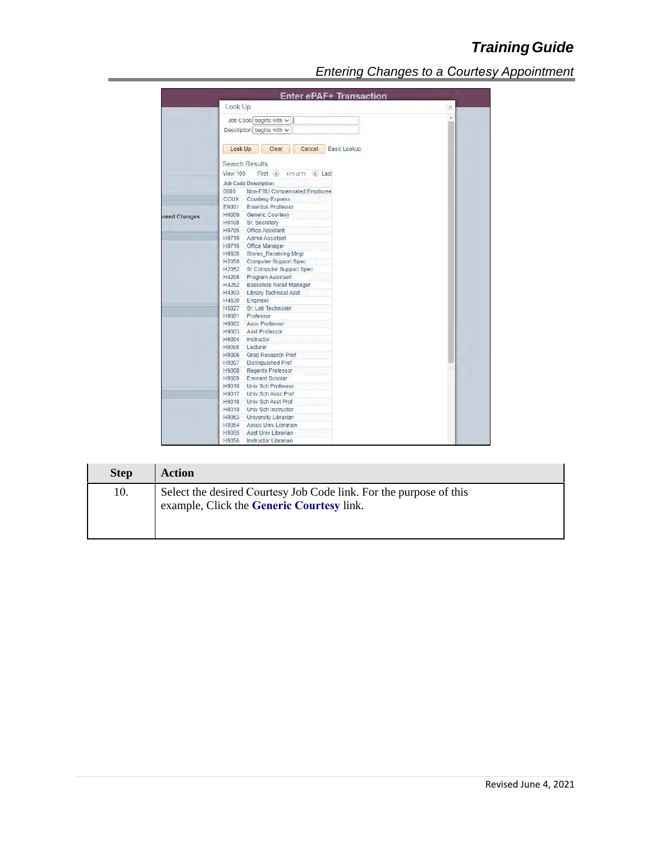|              | <b>Enter ePAF+ Transaction</b>             |      |
|--------------|--------------------------------------------|------|
|              | Look Up                                    | $30$ |
|              | Job Code begins with $\sim$                |      |
|              | Description begins with $\sim$             |      |
|              |                                            |      |
|              | Look Up<br>Clear<br>Cancel<br>Basic Lookup |      |
|              | <b>Search Results</b>                      |      |
|              | First 4 1-71 of 71 (b) Last<br>View 100    |      |
|              | <b>Job Code Description</b>                |      |
|              | Non-FSU Compensated Employee<br>0000       |      |
|              | <b>COUX</b> Courtesy Express               |      |
|              | E9001 Emeritus Professor                   |      |
| osed Changes | H0000 Generic Courtesy                     |      |
|              | H0108 Sr. Secretary                        |      |
|              | H0705 Office Assistant                     |      |
|              | H0710 Admin Assistant                      |      |
|              | H0716 Office Manager                       |      |
|              | H0928 Stores Receiving Mngr                |      |
|              | H2050 Computer Support Spec                |      |
|              | H2052 Sr Computer Support Spec             |      |
|              | H4206 Program Assistant                    |      |
|              | H4252 Bookstore Retail Manager             |      |
|              | H4303 Library Technical Asst               |      |
|              | H4630 Engineer                             |      |
|              | H5027 Sr. Lab Technician                   |      |
|              | H9001 Professor                            |      |
|              | H9002 Asoc Professor                       |      |
|              | H9003 Asst Professor                       |      |
|              | H9004 Instructor                           |      |
|              | H9005 Lecturer                             |      |
|              | H9006 Grad Research Prof                   |      |
|              | H9007 Distinguished Prof                   |      |
|              | H9008 Regents Professor                    |      |
|              | H9009 Eminent Scholar                      |      |
|              | H9016 Univ Sch Professor                   |      |
|              | H9017 Univ Sch Asoc Prof                   |      |
|              | H9018 Univ Sch Asst Prof                   |      |
|              | H9019 Univ Sch Instructor                  |      |
|              |                                            |      |
|              | H9053 University Librarian                 |      |
|              | H9054 Assoc Univ Librarian                 |      |
|              | H9055 Asst Univ Librarian                  |      |
|              | H9056 Instructor Librarian                 |      |

| <b>Step</b> | <b>Action</b>                                                                                                   |
|-------------|-----------------------------------------------------------------------------------------------------------------|
| 10.         | Select the desired Courtesy Job Code link. For the purpose of this<br>example, Click the Generic Courtesy link. |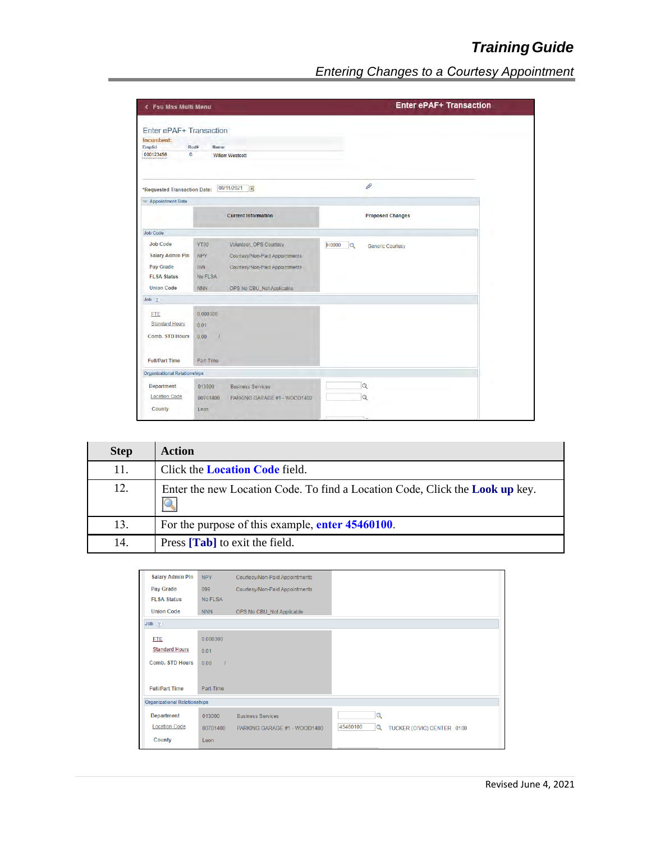| <b>&lt; Fsu Mss Multi Menu</b>                                                                     |                                                                                                                                                                                      |                                                    | <b>Enter ePAF+ Transaction</b> |  |
|----------------------------------------------------------------------------------------------------|--------------------------------------------------------------------------------------------------------------------------------------------------------------------------------------|----------------------------------------------------|--------------------------------|--|
| Enter ePAF+ Transaction<br>Incumbent:<br>Emplid<br>$\bullet$<br>000123456                          | Rod#<br><b>Name</b><br><b>William Westcott</b>                                                                                                                                       |                                                    |                                |  |
| *Requested Transaction Date:                                                                       | 06/11/2021<br>51                                                                                                                                                                     | 0                                                  |                                |  |
| <b>Appointment Data</b>                                                                            |                                                                                                                                                                                      |                                                    |                                |  |
|                                                                                                    | <b>Current Information</b>                                                                                                                                                           | <b>Proposed Changes</b>                            |                                |  |
| <b>Job Code</b>                                                                                    |                                                                                                                                                                                      |                                                    |                                |  |
| <b>Job Code</b><br><b>Salary Admin Pln</b><br>Pay Grade<br><b>FLSA Status</b><br><b>Union Code</b> | YT00<br>Volunteer_OPS Courtesy<br><b>NPY</b><br>Courtesy/Non-Paid Appointments<br>099<br>Courtesy/Non-Paid Appointments<br><b>No FLSA</b><br><b>NNN</b><br>OPS No CBU_Not Applicable | H0000<br>$\overline{Q}$<br><b>Generic Courtesy</b> |                                |  |
| $Job$ $?$                                                                                          |                                                                                                                                                                                      |                                                    |                                |  |
| <b>FTE</b><br><b>Standard Hours</b><br><b>Comb. STD Hours</b><br><b>Full/Part Time</b>             | 0.000300<br>0.01<br>0.00<br>$\overline{1}$<br>Part-Time                                                                                                                              |                                                    |                                |  |
| <b>Organizational Relationships</b>                                                                |                                                                                                                                                                                      |                                                    |                                |  |
| <b>Department</b><br><b>Location Code</b><br>County                                                | 013000<br><b>Business Services</b><br>00701400<br>PARKING GARAGE #1 - WOOD1400<br>Leon                                                                                               | $\alpha$<br>$\alpha$                               |                                |  |
|                                                                                                    |                                                                                                                                                                                      |                                                    |                                |  |

| <b>Step</b> | <b>Action</b>                                                                     |  |
|-------------|-----------------------------------------------------------------------------------|--|
| 11.         | Click the <b>Location Code</b> field.                                             |  |
| 12.         | Enter the new Location Code. To find a Location Code, Click the Look up key.<br>Q |  |
| 13.         | For the purpose of this example, enter 45460100.                                  |  |
| 14.         | Press [ <b>Tab</b> ] to exit the field.                                           |  |

| <b>Salary Admin PIn</b>             | <b>NPY</b> | Courtesy/Non-Paid Appointments |                                             |
|-------------------------------------|------------|--------------------------------|---------------------------------------------|
| Pay Grade                           | 099        | Courtesy/Non-Paid Appointments |                                             |
| <b>FLSA Status</b>                  | No FLSA    |                                |                                             |
| <b>Union Code</b>                   | <b>NNN</b> | OPS No CBU_Not Applicable      |                                             |
| Job(?)                              |            |                                |                                             |
| <b>FTE</b>                          | 0.000300   |                                |                                             |
| <b>Standard Hours</b>               | 0.01       |                                |                                             |
| <b>Comb. STD Hours</b>              | 0.00       |                                |                                             |
|                                     |            |                                |                                             |
| <b>Full/Part Time</b>               | Part-Time  |                                |                                             |
| <b>Organizational Relationships</b> |            |                                |                                             |
| <b>Department</b>                   | 013000     | <b>Business Services</b>       | $\alpha$                                    |
| <b>Location Code</b>                | 00701400   | PARKING GARAGE #1 - WOOD1400   | 45460100<br>Q<br>TUCKER (CIVIC) CENTER 0100 |
| <b>County</b>                       | Leon       |                                |                                             |